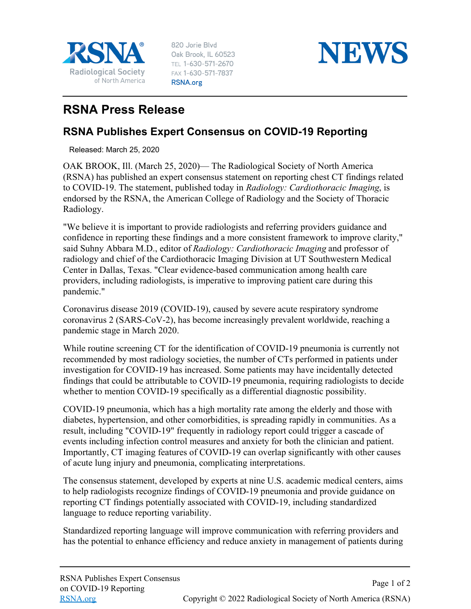

820 Jorie Blvd Oak Brook, IL 60523 TEL 1-630-571-2670 FAX 1-630-571-7837 RSNA.org



## **RSNA Press Release**

## **RSNA Publishes Expert Consensus on COVID-19 Reporting**

Released: March 25, 2020

OAK BROOK, Ill. (March 25, 2020)— The Radiological Society of North America (RSNA) has published an expert consensus statement on reporting chest CT findings related to COVID-19. The statement, published today in *Radiology: Cardiothoracic Imaging*, is endorsed by the RSNA, the American College of Radiology and the Society of Thoracic Radiology.

"We believe it is important to provide radiologists and referring providers guidance and confidence in reporting these findings and a more consistent framework to improve clarity," said Suhny Abbara M.D., editor of *Radiology: Cardiothoracic Imaging* and professor of radiology and chief of the Cardiothoracic Imaging Division at UT Southwestern Medical Center in Dallas, Texas. "Clear evidence-based communication among health care providers, including radiologists, is imperative to improving patient care during this pandemic."

Coronavirus disease 2019 (COVID-19), caused by severe acute respiratory syndrome coronavirus 2 (SARS-CoV-2), has become increasingly prevalent worldwide, reaching a pandemic stage in March 2020.

While routine screening CT for the identification of COVID-19 pneumonia is currently not recommended by most radiology societies, the number of CTs performed in patients under investigation for COVID-19 has increased. Some patients may have incidentally detected findings that could be attributable to COVID-19 pneumonia, requiring radiologists to decide whether to mention COVID-19 specifically as a differential diagnostic possibility.

COVID-19 pneumonia, which has a high mortality rate among the elderly and those with diabetes, hypertension, and other comorbidities, is spreading rapidly in communities. As a result, including "COVID-19" frequently in radiology report could trigger a cascade of events including infection control measures and anxiety for both the clinician and patient. Importantly, CT imaging features of COVID-19 can overlap significantly with other causes of acute lung injury and pneumonia, complicating interpretations.

The consensus statement, developed by experts at nine U.S. academic medical centers, aims to help radiologists recognize findings of COVID-19 pneumonia and provide guidance on reporting CT findings potentially associated with COVID-19, including standardized language to reduce reporting variability.

Standardized reporting language will improve communication with referring providers and has the potential to enhance efficiency and reduce anxiety in management of patients during